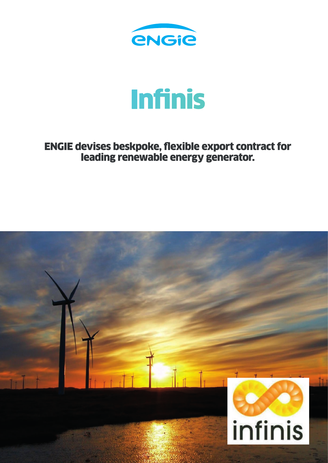

## Infinis

ENGIE devises beskpoke, flexible export contract for leading renewable energy generator.

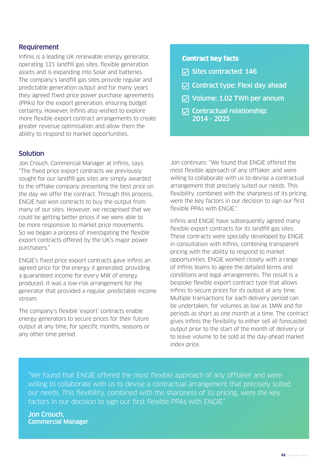## **Requirement**

Infinis is a leading UK renewable energy generator, operating 121 landfill gas sites, flexible generation assets and is expanding into Solar and batteries. The company's landfill gas sites provide regular and predictable generation output and for many years they agreed fixed price power purchase agreements (PPAs) for the export generation, ensuring budget certainty. However, Infinis also wished to explore more flexible export contract arrangements to create greater revenue optimisation and allow them the ability to respond to market opportunities.

## Solution

Jon Crouch, Commercial Manager at Infinis, says: "The fixed price export contracts we previously sought for our landfill gas sites are simply awarded to the offtake company presenting the best price on the day we offer the contract. Through this process, ENGIE had won contracts to buy the output from many of our sites. However, we recognised that we could be getting better prices if we were able to be more responsive to market price movements. So we began a process of investigating the flexible export contracts offered by the UK's major power purchasers."

ENGIE's fixed price export contracts gave Infinis an agreed price for the energy it generated, providing a guaranteed income for every MW of energy produced. It was a low-risk arrangement for the generator that provided a regular, predictable income stream.

The company's flexible 'export' contracts enable energy generators to secure prices for their future output at any time, for specific months, seasons or any other time period.

## Contract key facts

- $\nabla$  Sites contracted: 146
- $\nabla$  Contract type: Flexi day ahead
- Volume: 1.02 TWh per annum
- $\nabla$  Contractual relationship: 2014 - 2025

Jon continues: "We found that ENGIE offered the most flexible approach of any offtaker, and were willing to collaborate with us to devise a contractual arrangement that precisely suited our needs. This flexibility, combined with the sharpness of its pricing, were the key factors in our decision to sign our first flexible PPAs with ENGIE."

Infinis and ENGIE have subsequently agreed many flexible export contracts for its landfill gas sites. These contracts were specially developed by ENGIE in consultation with Infinis, combining transparent pricing with the ability to respond to market opportunities. ENGIE worked closely with a range of Infinis teams to agree the detailed terms and conditions and legal arrangements. The result is a bespoke flexible export contract type that allows Infinis to secure prices for its output at any time. Multiple transactions for each delivery period can be undertaken, for volumes as low as 1MW and for periods as short as one month at a time. The contract gives Infinis the flexibility to either sell all forecasted output prior to the start of the month of delivery or to leave volume to be sold at the day-ahead market index price.

"We found that ENGIE offered the most flexible approach of any offtaker and were willing to collaborate with us to devise a contractual arrangement that precisely suited our needs. This flexibility, combined with the sharpness of its pricing, were the key factors in our decision to sign our first flexible PPAs with ENGIE"

Jon Crouch, Commercial Manager